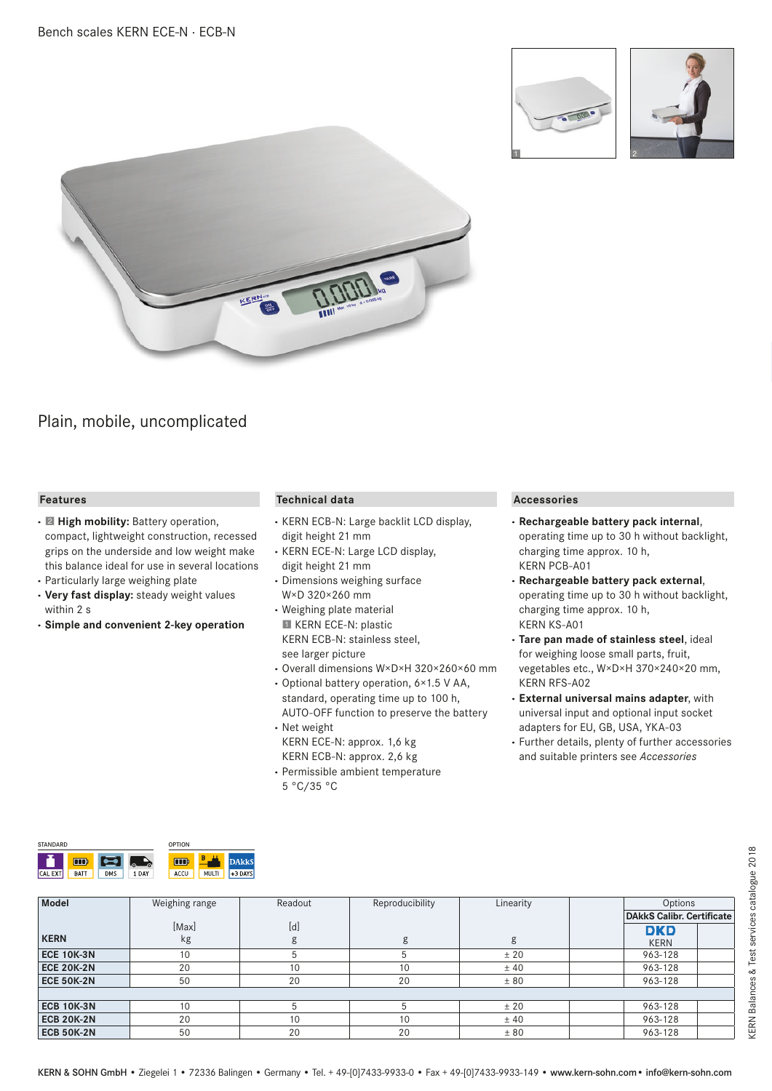





# Plain, mobile, uncomplicated

## **Features**

- **·** 2 **High mobility:** Battery operation, compact, lightweight construction, recessed grips on the underside and low weight make this balance ideal for use in several locations
- **·** Particularly large weighing plate
- **· Very fast display:** steady weight values within 2 s
- **· Simple and convenient 2-key operation**

### **Technical data**

- **·** KERN ECB-N: Large backlit LCD display, digit height 21 mm
- **·** KERN ECE-N: Large LCD display, digit height 21 mm
- **·** Dimensions weighing surface W×D 320×260 mm
- **·** Weighing plate material **II KERN ECE-N: plastic** KERN ECB-N: stainless steel, see larger picture
- **·** Overall dimensions W×D×H 320×260×60 mm
- **·** Optional battery operation, 6×1.5 V AA, standard, operating time up to 100 h, AUTO-OFF function to preserve the battery **·** Net weight
- KERN ECE-N: approx. 1,6 kg KERN ECB-N: approx. 2,6 kg
- **·** Permissible ambient temperature 5 °C/35 °C

#### **Accessories**

- **· Rechargeable battery pack internal**, operating time up to 30 h without backlight, charging time approx. 10 h, KERN PCB-A01
- **· Rechargeable battery pack external**, operating time up to 30 h without backlight, charging time approx. 10 h, KERN KS-A01
- **· Tare pan made of stainless steel**, ideal for weighing loose small parts, fruit, vegetables etc., W×D×H 370×240×20 mm, KERN RFS-A02
- **· External universal mains adapter**, with universal input and optional input socket adapters for EU, GB, USA, YKA-03
- **·** Further details, plenty of further accessories and suitable printers see *Accessories*

| <b>STANDARD</b> |             |            |        | <b>OPTION</b> |       |           |
|-----------------|-------------|------------|--------|---------------|-------|-----------|
|                 | w           |            | Ō<br>ശ | u se b        | B     | kks       |
| EXT<br>CAL      | <b>BATT</b> | <b>DMS</b> | 1 DAY  | ACCU          | MULTI | $+3$ DAYS |

| Model             | Weighing range | Readout | Reproducibility | Linearity | Options                          |  |
|-------------------|----------------|---------|-----------------|-----------|----------------------------------|--|
|                   |                |         |                 |           | <b>DAkkS Calibr. Certificate</b> |  |
|                   | [Max]          | [d]     |                 |           | <b>DKD</b>                       |  |
| <b>KERN</b>       | kg             | ہ       | g               | g         | <b>KERN</b>                      |  |
| <b>ECE 10K-3N</b> | 10             |         |                 | ± 20      | 963-128                          |  |
| <b>ECE 20K-2N</b> | 20             | 10      | 10              | ±40       | 963-128                          |  |
| <b>ECE 50K-2N</b> | 50             | 20      | 20              | ± 80      | 963-128                          |  |
|                   |                |         |                 |           |                                  |  |
| <b>ECB 10K-3N</b> | 10             |         |                 | ± 20      | 963-128                          |  |
| <b>ECB 20K-2N</b> | 20             | 10      | 10              | ±40       | 963-128                          |  |
| <b>ECB 50K-2N</b> | 50             | 20      | 20              | ± 80      | 963-128                          |  |